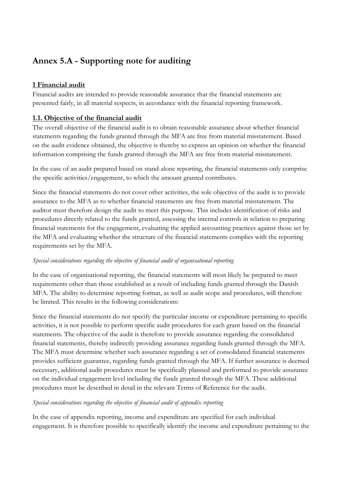# **Annex 5.A - Supporting note for auditing**

# **1 Financial audit**

Financial audits are intended to provide reasonable assurance that the financial statements are presented fairly, in all material respects, in accordance with the financial reporting framework.

# **1.1. Objective of the financial audit**

The overall objective of the financial audit is to obtain reasonable assurance about whether financial statements regarding the funds granted through the MFA are free from material misstatement. Based on the audit evidence obtained, the objective is thereby to express an opinion on whether the financial information comprising the funds granted through the MFA are free from material misstatement.

In the case of an audit prepared based on stand-alone reporting, the financial statements only comprise the specific activities/engagement, to which the amount granted contributes.

Since the financial statements do not cover other activities, the sole objective of the audit is to provide assurance to the MFA as to whether financial statements are free from material misstatement. The auditor must therefore design the audit to meet this purpose. This includes identification of risks and procedures directly related to the funds granted, assessing the internal controls in relation to preparing financial statements for the engagement, evaluating the applied accounting practices against those set by the MFA and evaluating whether the structure of the financial statements complies with the reporting requirements set by the MFA.

# *Special considerations regarding the objective of financial audit of organisational reporting*

In the case of organisational reporting, the financial statements will most likely be prepared to meet requirements other than those established as a result of including funds granted through the Danish MFA. The ability to determine reporting format, as well as audit scope and procedures, will therefore be limited. This results in the following considerations:

Since the financial statements do not specify the particular income or expenditure pertaining to specific activities, it is not possible to perform specific audit procedures for each grant based on the financial statements. The objective of the audit is therefore to provide assurance regarding the consolidated financial statements, thereby indirectly providing assurance regarding funds granted through the MFA. The MFA must determine whether such assurance regarding a set of consolidated financial statements provides sufficient guarantee, regarding funds granted through the MFA. If further assurance is deemed necessary, additional audit procedures must be specifically planned and performed to provide assurance on the individual engagement level including the funds granted through the MFA. These additional procedures must be described in detail in the relevant Terms of Reference for the audit.

# *Special considerations regarding the objective of financial audit of appendix reporting*

In the case of appendix reporting, income and expenditure are specified for each individual engagement. It is therefore possible to specifically identify the income and expenditure pertaining to the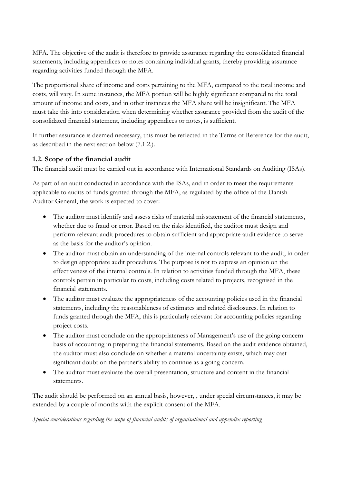MFA. The objective of the audit is therefore to provide assurance regarding the consolidated financial statements, including appendices or notes containing individual grants, thereby providing assurance regarding activities funded through the MFA.

The proportional share of income and costs pertaining to the MFA, compared to the total income and costs, will vary. In some instances, the MFA portion will be highly significant compared to the total amount of income and costs, and in other instances the MFA share will be insignificant. The MFA must take this into consideration when determining whether assurance provided from the audit of the consolidated financial statement, including appendices or notes, is sufficient.

If further assurance is deemed necessary, this must be reflected in the Terms of Reference for the audit, as described in the next section below (7.1.2.).

# **1.2. Scope of the financial audit**

The financial audit must be carried out in accordance with International Standards on Auditing (ISAs).

As part of an audit conducted in accordance with the ISAs, and in order to meet the requirements applicable to audits of funds granted through the MFA, as regulated by the office of the Danish Auditor General, the work is expected to cover:

- The auditor must identify and assess risks of material misstatement of the financial statements, whether due to fraud or error. Based on the risks identified, the auditor must design and perform relevant audit procedures to obtain sufficient and appropriate audit evidence to serve as the basis for the auditor's opinion.
- The auditor must obtain an understanding of the internal controls relevant to the audit, in order to design appropriate audit procedures. The purpose is not to express an opinion on the effectiveness of the internal controls. In relation to activities funded through the MFA, these controls pertain in particular to costs, including costs related to projects, recognised in the financial statements.
- The auditor must evaluate the appropriateness of the accounting policies used in the financial statements, including the reasonableness of estimates and related disclosures. In relation to funds granted through the MFA, this is particularly relevant for accounting policies regarding project costs.
- The auditor must conclude on the appropriateness of Management's use of the going concern basis of accounting in preparing the financial statements. Based on the audit evidence obtained, the auditor must also conclude on whether a material uncertainty exists, which may cast significant doubt on the partner's ability to continue as a going concern.
- The auditor must evaluate the overall presentation, structure and content in the financial statements.

The audit should be performed on an annual basis, however, , under special circumstances, it may be extended by a couple of months with the explicit consent of the MFA.

*Special considerations regarding the scope of financial audits of organisational and appendix reporting*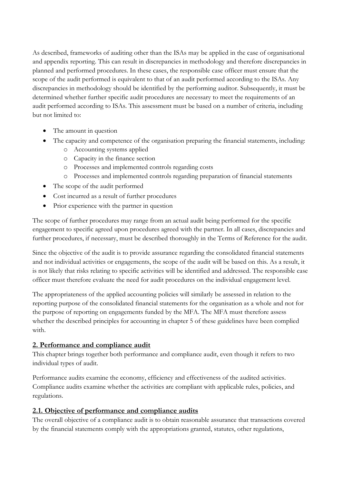As described, frameworks of auditing other than the ISAs may be applied in the case of organisational and appendix reporting. This can result in discrepancies in methodology and therefore discrepancies in planned and performed procedures. In these cases, the responsible case officer must ensure that the scope of the audit performed is equivalent to that of an audit performed according to the ISAs. Any discrepancies in methodology should be identified by the performing auditor. Subsequently, it must be determined whether further specific audit procedures are necessary to meet the requirements of an audit performed according to ISAs. This assessment must be based on a number of criteria, including but not limited to:

- The amount in question
- The capacity and competence of the organisation preparing the financial statements, including:
	- o Accounting systems applied
	- o Capacity in the finance section
	- o Processes and implemented controls regarding costs
	- o Processes and implemented controls regarding preparation of financial statements
- The scope of the audit performed
- Cost incurred as a result of further procedures
- Prior experience with the partner in question

The scope of further procedures may range from an actual audit being performed for the specific engagement to specific agreed upon procedures agreed with the partner. In all cases, discrepancies and further procedures, if necessary, must be described thoroughly in the Terms of Reference for the audit.

Since the objective of the audit is to provide assurance regarding the consolidated financial statements and not individual activities or engagements, the scope of the audit will be based on this. As a result, it is not likely that risks relating to specific activities will be identified and addressed. The responsible case officer must therefore evaluate the need for audit procedures on the individual engagement level.

The appropriateness of the applied accounting policies will similarly be assessed in relation to the reporting purpose of the consolidated financial statements for the organisation as a whole and not for the purpose of reporting on engagements funded by the MFA. The MFA must therefore assess whether the described principles for accounting in chapter 5 of these guidelines have been complied with.

# **2. Performance and compliance audit**

This chapter brings together both performance and compliance audit, even though it refers to two individual types of audit.

Performance audits examine the economy, efficiency and effectiveness of the audited activities. Compliance audits examine whether the activities are compliant with applicable rules, policies, and regulations.

# **2.1. Objective of performance and compliance audits**

The overall objective of a compliance audit is to obtain reasonable assurance that transactions covered by the financial statements comply with the appropriations granted, statutes, other regulations,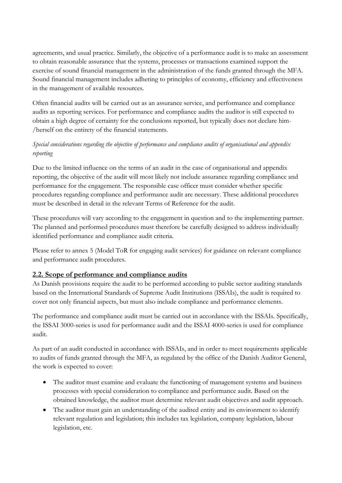agreements, and usual practice. Similarly, the objective of a performance audit is to make an assessment to obtain reasonable assurance that the systems, processes or transactions examined support the exercise of sound financial management in the administration of the funds granted through the MFA. Sound financial management includes adhering to principles of economy, efficiency and effectiveness in the management of available resources.

Often financial audits will be carried out as an assurance service, and performance and compliance audits as reporting services. For performance and compliance audits the auditor is still expected to obtain a high degree of certainty for the conclusions reported, but typically does not declare him- /herself on the entirety of the financial statements.

# *Special considerations regarding the objective of performance and compliance audits of organisational and appendix reporting*

Due to the limited influence on the terms of an audit in the case of organisational and appendix reporting, the objective of the audit will most likely not include assurance regarding compliance and performance for the engagement. The responsible case officer must consider whether specific procedures regarding compliance and performance audit are necessary. These additional procedures must be described in detail in the relevant Terms of Reference for the audit.

These procedures will vary according to the engagement in question and to the implementing partner. The planned and performed procedures must therefore be carefully designed to address individually identified performance and compliance audit criteria.

Please refer to annex 5 (Model ToR for engaging audit services) for guidance on relevant compliance and performance audit procedures.

# **2.2. Scope of performance and compliance audits**

As Danish provisions require the audit to be performed according to public sector auditing standards based on the International Standards of Supreme Audit Institutions (ISSAIs), the audit is required to cover not only financial aspects, but must also include compliance and performance elements.

The performance and compliance audit must be carried out in accordance with the ISSAIs. Specifically, the ISSAI 3000-series is used for performance audit and the ISSAI 4000-series is used for compliance audit.

As part of an audit conducted in accordance with ISSAIs, and in order to meet requirements applicable to audits of funds granted through the MFA, as regulated by the office of the Danish Auditor General, the work is expected to cover:

- The auditor must examine and evaluate the functioning of management systems and business processes with special consideration to compliance and performance audit. Based on the obtained knowledge, the auditor must determine relevant audit objectives and audit approach.
- The auditor must gain an understanding of the audited entity and its environment to identify relevant regulation and legislation; this includes tax legislation, company legislation, labour legislation, etc.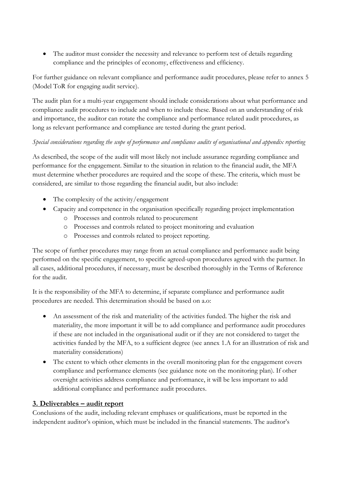• The auditor must consider the necessity and relevance to perform test of details regarding compliance and the principles of economy, effectiveness and efficiency.

For further guidance on relevant compliance and performance audit procedures, please refer to annex 5 (Model ToR for engaging audit service).

The audit plan for a multi-year engagement should include considerations about what performance and compliance audit procedures to include and when to include these. Based on an understanding of risk and importance, the auditor can rotate the compliance and performance related audit procedures, as long as relevant performance and compliance are tested during the grant period.

# *Special considerations regarding the scope of performance and compliance audits of organisational and appendix reporting*

As described, the scope of the audit will most likely not include assurance regarding compliance and performance for the engagement. Similar to the situation in relation to the financial audit, the MFA must determine whether procedures are required and the scope of these. The criteria, which must be considered, are similar to those regarding the financial audit, but also include:

- The complexity of the activity/engagement
- Capacity and competence in the organisation specifically regarding project implementation
	- o Processes and controls related to procurement
	- o Processes and controls related to project monitoring and evaluation
	- o Processes and controls related to project reporting.

The scope of further procedures may range from an actual compliance and performance audit being performed on the specific engagement, to specific agreed-upon procedures agreed with the partner. In all cases, additional procedures, if necessary, must be described thoroughly in the Terms of Reference for the audit.

It is the responsibility of the MFA to determine, if separate compliance and performance audit procedures are needed. This determination should be based on a.o:

- An assessment of the risk and materiality of the activities funded. The higher the risk and materiality, the more important it will be to add compliance and performance audit procedures if these are not included in the organisational audit or if they are not considered to target the activities funded by the MFA, to a sufficient degree (see annex 1.A for an illustration of risk and materiality considerations)
- The extent to which other elements in the overall monitoring plan for the engagement covers compliance and performance elements (see guidance note on the monitoring plan). If other oversight activities address compliance and performance, it will be less important to add additional compliance and performance audit procedures.

#### **3. Deliverables – audit report**

Conclusions of the audit, including relevant emphases or qualifications, must be reported in the independent auditor's opinion, which must be included in the financial statements. The auditor's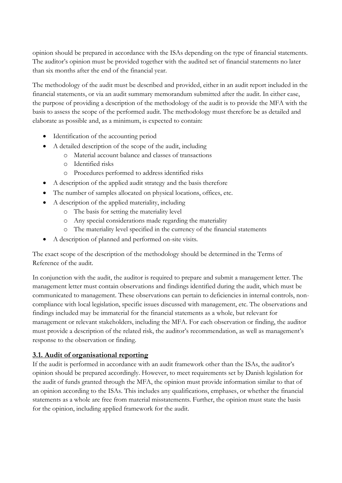opinion should be prepared in accordance with the ISAs depending on the type of financial statements. The auditor's opinion must be provided together with the audited set of financial statements no later than six months after the end of the financial year.

The methodology of the audit must be described and provided, either in an audit report included in the financial statements, or via an audit summary memorandum submitted after the audit. In either case, the purpose of providing a description of the methodology of the audit is to provide the MFA with the basis to assess the scope of the performed audit. The methodology must therefore be as detailed and elaborate as possible and, as a minimum, is expected to contain:

- Identification of the accounting period
- A detailed description of the scope of the audit, including
	- o Material account balance and classes of transactions
	- o Identified risks
	- o Procedures performed to address identified risks
- A description of the applied audit strategy and the basis therefore
- The number of samples allocated on physical locations, offices, etc.
- A description of the applied materiality, including
	- o The basis for setting the materiality level
	- o Any special considerations made regarding the materiality
	- o The materiality level specified in the currency of the financial statements
- A description of planned and performed on-site visits.

The exact scope of the description of the methodology should be determined in the Terms of Reference of the audit.

In conjunction with the audit, the auditor is required to prepare and submit a management letter. The management letter must contain observations and findings identified during the audit, which must be communicated to management. These observations can pertain to deficiencies in internal controls, noncompliance with local legislation, specific issues discussed with management, etc. The observations and findings included may be immaterial for the financial statements as a whole, but relevant for management or relevant stakeholders, including the MFA. For each observation or finding, the auditor must provide a description of the related risk, the auditor's recommendation, as well as management's response to the observation or finding.

# **3.1. Audit of organisational reporting**

If the audit is performed in accordance with an audit framework other than the ISAs, the auditor's opinion should be prepared accordingly. However, to meet requirements set by Danish legislation for the audit of funds granted through the MFA, the opinion must provide information similar to that of an opinion according to the ISAs. This includes any qualifications, emphases, or whether the financial statements as a whole are free from material misstatements. Further, the opinion must state the basis for the opinion, including applied framework for the audit.